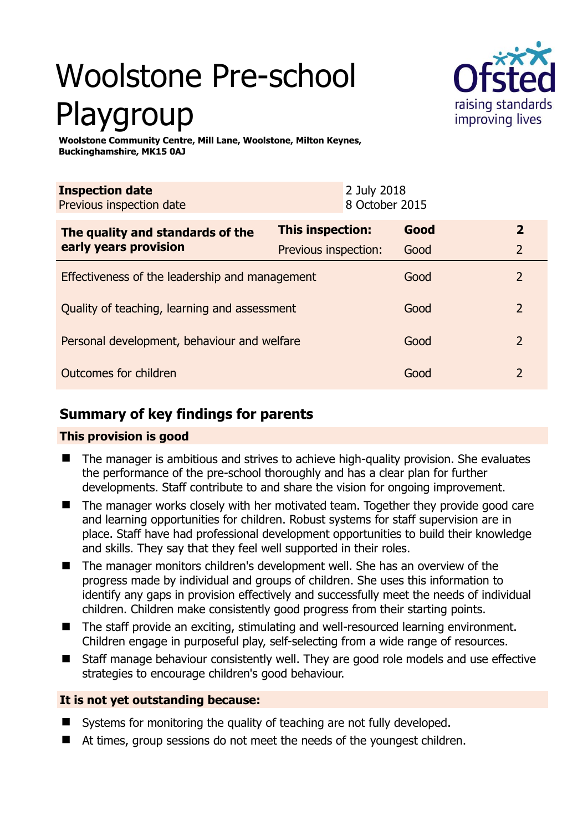# Woolstone Pre-school Playgroup



**Woolstone Community Centre, Mill Lane, Woolstone, Milton Keynes, Buckinghamshire, MK15 0AJ** 

| <b>Inspection date</b><br>Previous inspection date        |                             | 2 July 2018<br>8 October 2015 |                |
|-----------------------------------------------------------|-----------------------------|-------------------------------|----------------|
| The quality and standards of the<br>early years provision | <b>This inspection:</b>     | Good                          | $\overline{2}$ |
|                                                           | <b>Previous inspection:</b> | Good                          | 2              |
| Effectiveness of the leadership and management            |                             | Good                          | $\mathcal{L}$  |
| Quality of teaching, learning and assessment              |                             | Good                          | $\mathcal{P}$  |
| Personal development, behaviour and welfare               |                             | Good                          | $\mathcal{P}$  |
| Outcomes for children                                     |                             | Good                          | 2              |

# **Summary of key findings for parents**

## **This provision is good**

- The manager is ambitious and strives to achieve high-quality provision. She evaluates the performance of the pre-school thoroughly and has a clear plan for further developments. Staff contribute to and share the vision for ongoing improvement.
- The manager works closely with her motivated team. Together they provide good care and learning opportunities for children. Robust systems for staff supervision are in place. Staff have had professional development opportunities to build their knowledge and skills. They say that they feel well supported in their roles.
- The manager monitors children's development well. She has an overview of the progress made by individual and groups of children. She uses this information to identify any gaps in provision effectively and successfully meet the needs of individual children. Children make consistently good progress from their starting points.
- The staff provide an exciting, stimulating and well-resourced learning environment. Children engage in purposeful play, self-selecting from a wide range of resources.
- Staff manage behaviour consistently well. They are good role models and use effective strategies to encourage children's good behaviour.

## **It is not yet outstanding because:**

- Systems for monitoring the quality of teaching are not fully developed.
- At times, group sessions do not meet the needs of the voungest children.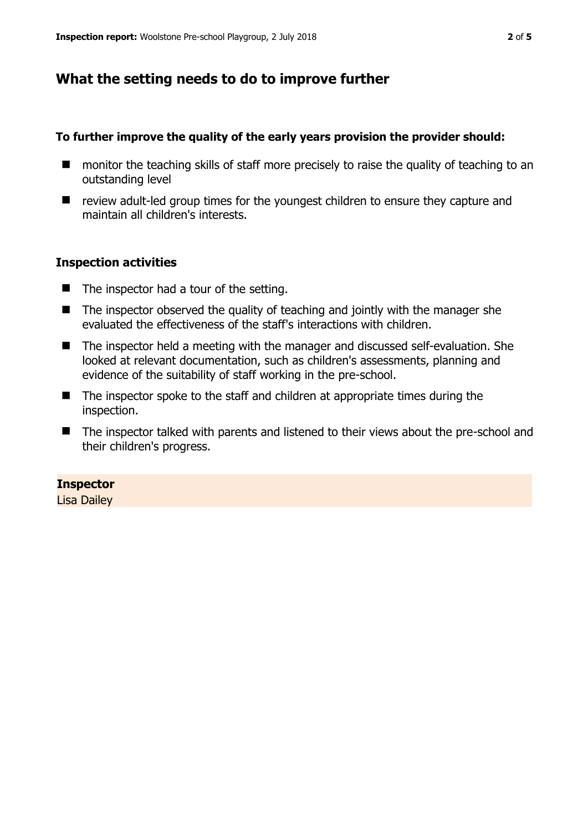# **What the setting needs to do to improve further**

#### **To further improve the quality of the early years provision the provider should:**

- monitor the teaching skills of staff more precisely to raise the quality of teaching to an outstanding level
- review adult-led group times for the youngest children to ensure they capture and maintain all children's interests.

#### **Inspection activities**

- The inspector had a tour of the setting.
- $\blacksquare$  The inspector observed the quality of teaching and jointly with the manager she evaluated the effectiveness of the staff's interactions with children.
- The inspector held a meeting with the manager and discussed self-evaluation. She looked at relevant documentation, such as children's assessments, planning and evidence of the suitability of staff working in the pre-school.
- The inspector spoke to the staff and children at appropriate times during the inspection.
- The inspector talked with parents and listened to their views about the pre-school and their children's progress.

#### **Inspector**

Lisa Dailey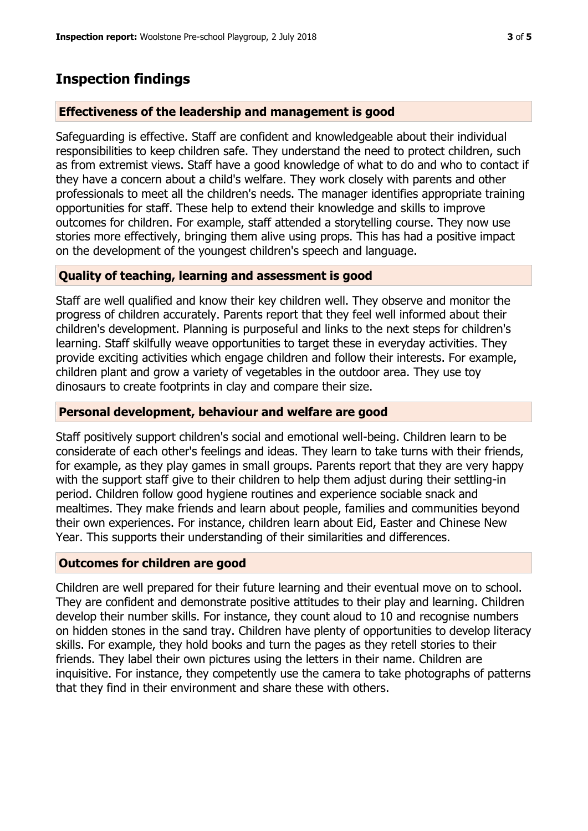# **Inspection findings**

## **Effectiveness of the leadership and management is good**

Safeguarding is effective. Staff are confident and knowledgeable about their individual responsibilities to keep children safe. They understand the need to protect children, such as from extremist views. Staff have a good knowledge of what to do and who to contact if they have a concern about a child's welfare. They work closely with parents and other professionals to meet all the children's needs. The manager identifies appropriate training opportunities for staff. These help to extend their knowledge and skills to improve outcomes for children. For example, staff attended a storytelling course. They now use stories more effectively, bringing them alive using props. This has had a positive impact on the development of the youngest children's speech and language.

## **Quality of teaching, learning and assessment is good**

Staff are well qualified and know their key children well. They observe and monitor the progress of children accurately. Parents report that they feel well informed about their children's development. Planning is purposeful and links to the next steps for children's learning. Staff skilfully weave opportunities to target these in everyday activities. They provide exciting activities which engage children and follow their interests. For example, children plant and grow a variety of vegetables in the outdoor area. They use toy dinosaurs to create footprints in clay and compare their size.

#### **Personal development, behaviour and welfare are good**

Staff positively support children's social and emotional well-being. Children learn to be considerate of each other's feelings and ideas. They learn to take turns with their friends, for example, as they play games in small groups. Parents report that they are very happy with the support staff give to their children to help them adjust during their settling-in period. Children follow good hygiene routines and experience sociable snack and mealtimes. They make friends and learn about people, families and communities beyond their own experiences. For instance, children learn about Eid, Easter and Chinese New Year. This supports their understanding of their similarities and differences.

### **Outcomes for children are good**

Children are well prepared for their future learning and their eventual move on to school. They are confident and demonstrate positive attitudes to their play and learning. Children develop their number skills. For instance, they count aloud to 10 and recognise numbers on hidden stones in the sand tray. Children have plenty of opportunities to develop literacy skills. For example, they hold books and turn the pages as they retell stories to their friends. They label their own pictures using the letters in their name. Children are inquisitive. For instance, they competently use the camera to take photographs of patterns that they find in their environment and share these with others.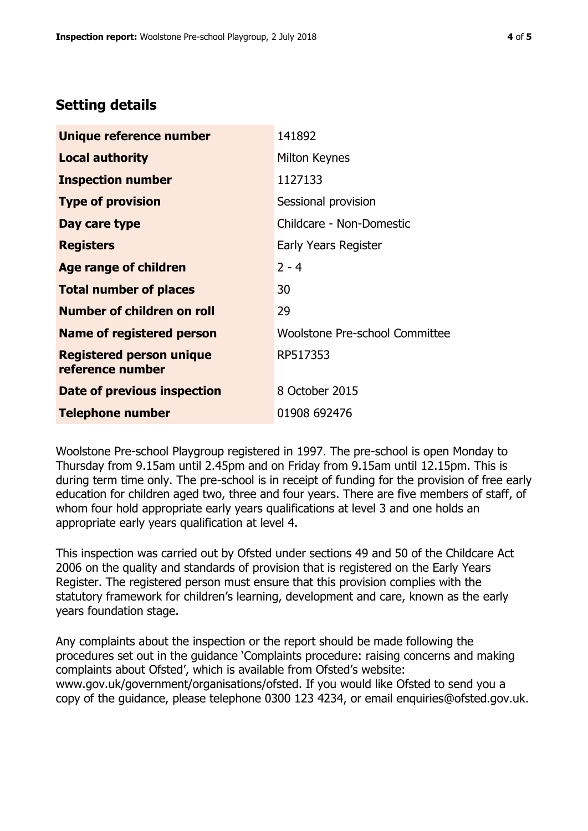# **Setting details**

| Unique reference number                             | 141892                         |
|-----------------------------------------------------|--------------------------------|
| <b>Local authority</b>                              | Milton Keynes                  |
| <b>Inspection number</b>                            | 1127133                        |
| <b>Type of provision</b>                            | Sessional provision            |
| Day care type                                       | Childcare - Non-Domestic       |
| <b>Registers</b>                                    | Early Years Register           |
| Age range of children                               | $2 - 4$                        |
| <b>Total number of places</b>                       | 30                             |
| <b>Number of children on roll</b>                   | 29                             |
| <b>Name of registered person</b>                    | Woolstone Pre-school Committee |
| <b>Registered person unique</b><br>reference number | RP517353                       |
| Date of previous inspection                         | 8 October 2015                 |
| <b>Telephone number</b>                             | 01908 692476                   |

Woolstone Pre-school Playgroup registered in 1997. The pre-school is open Monday to Thursday from 9.15am until 2.45pm and on Friday from 9.15am until 12.15pm. This is during term time only. The pre-school is in receipt of funding for the provision of free early education for children aged two, three and four years. There are five members of staff, of whom four hold appropriate early years qualifications at level 3 and one holds an appropriate early years qualification at level 4.

This inspection was carried out by Ofsted under sections 49 and 50 of the Childcare Act 2006 on the quality and standards of provision that is registered on the Early Years Register. The registered person must ensure that this provision complies with the statutory framework for children's learning, development and care, known as the early years foundation stage.

Any complaints about the inspection or the report should be made following the procedures set out in the guidance 'Complaints procedure: raising concerns and making complaints about Ofsted', which is available from Ofsted's website: www.gov.uk/government/organisations/ofsted. If you would like Ofsted to send you a copy of the guidance, please telephone 0300 123 4234, or email enquiries@ofsted.gov.uk.